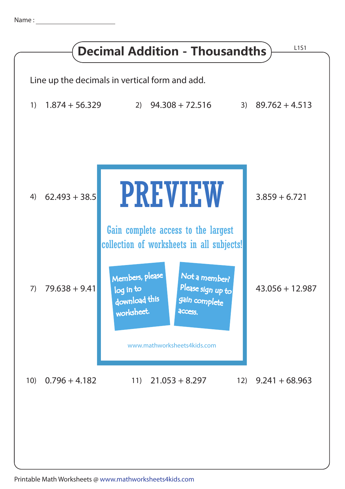